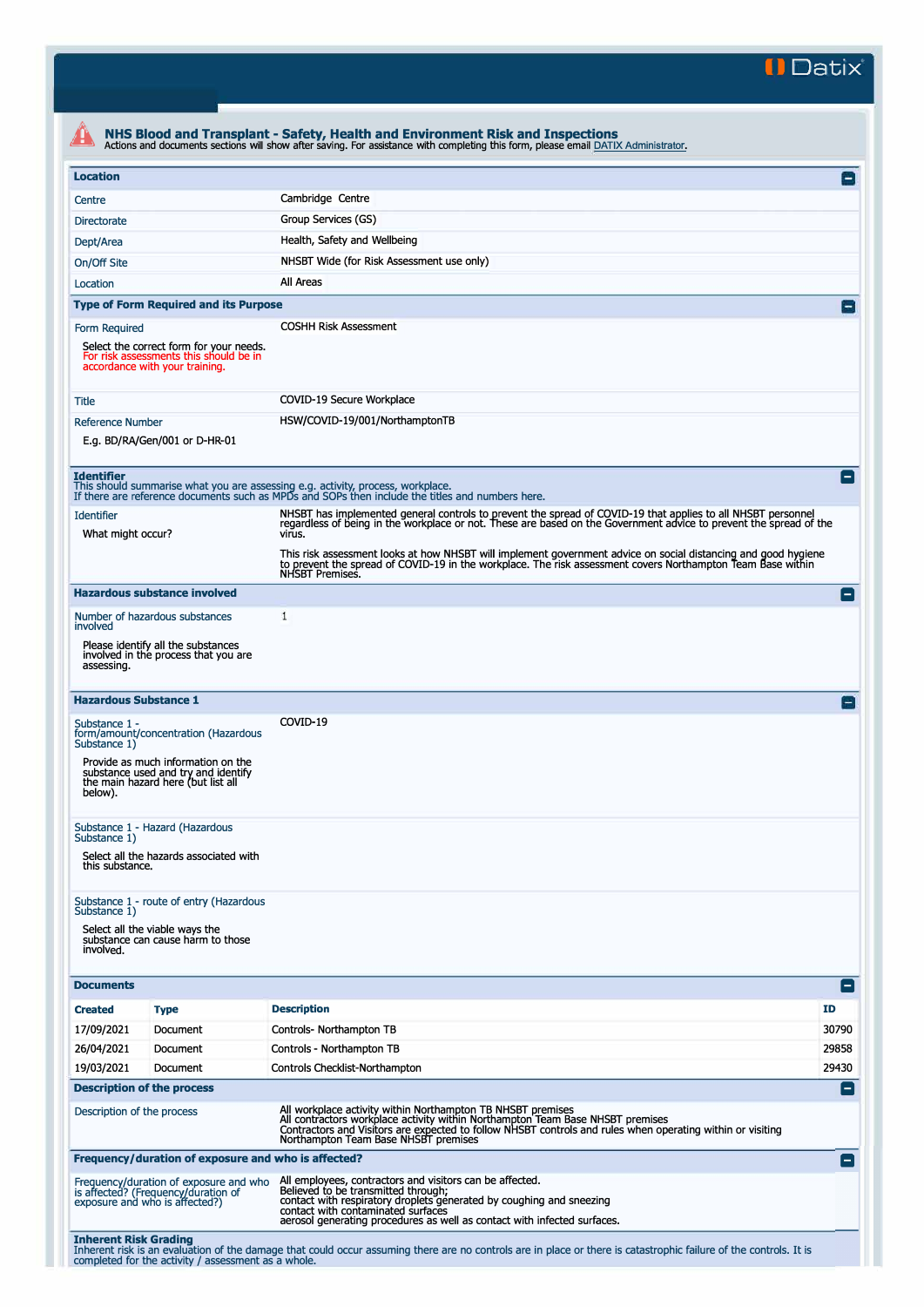**II Datix"** 

|                                        |                                                                                                                     | NHS Blood and Transplant - Safety, Health and Environment Risk and Inspections<br>Actions and documents sections will show after saving. For assistance with completing this form, please email DATIX Administrator.                                                                                |                    |
|----------------------------------------|---------------------------------------------------------------------------------------------------------------------|-----------------------------------------------------------------------------------------------------------------------------------------------------------------------------------------------------------------------------------------------------------------------------------------------------|--------------------|
| <b>Location</b>                        |                                                                                                                     |                                                                                                                                                                                                                                                                                                     | E                  |
| Centre                                 |                                                                                                                     | Cambridge Centre                                                                                                                                                                                                                                                                                    |                    |
| <b>Directorate</b>                     |                                                                                                                     | Group Services (GS)                                                                                                                                                                                                                                                                                 |                    |
| Dept/Area                              |                                                                                                                     | Health, Safety and Wellbeing                                                                                                                                                                                                                                                                        |                    |
| On/Off Site                            |                                                                                                                     | NHSBT Wide (for Risk Assessment use only)                                                                                                                                                                                                                                                           |                    |
| Location                               |                                                                                                                     | All Areas                                                                                                                                                                                                                                                                                           |                    |
|                                        | <b>Type of Form Required and its Purpose</b>                                                                        |                                                                                                                                                                                                                                                                                                     | $\blacksquare$     |
|                                        |                                                                                                                     | <b>COSHH Risk Assessment</b>                                                                                                                                                                                                                                                                        |                    |
| Form Required                          | Select the correct form for your needs.<br>For risk assessments this should be in<br>accordance with your training. |                                                                                                                                                                                                                                                                                                     |                    |
| <b>Title</b>                           |                                                                                                                     | COVID-19 Secure Workplace                                                                                                                                                                                                                                                                           |                    |
| <b>Reference Number</b>                |                                                                                                                     | HSW/COVID-19/001/NorthamptonTB                                                                                                                                                                                                                                                                      |                    |
|                                        | E.g. BD/RA/Gen/001 or D-HR-01                                                                                       |                                                                                                                                                                                                                                                                                                     |                    |
| <b>Identifier</b>                      |                                                                                                                     | This should summarise what you are assessing e.g. activity, process, workplace.<br>If there are reference documents such as MPDs and SOPs then include the titles and numbers here.                                                                                                                 | -1                 |
| <b>Identifier</b><br>What might occur? |                                                                                                                     | NHSBT has implemented general controls to prevent the spread of COVID-19 that applies to all NHSBT personnel<br>regardless of being in the workplace or not. These are based on the Government advice to prevent the spread of the<br>virus.                                                        |                    |
|                                        |                                                                                                                     | This risk assessment looks at how NHSBT will implement government advice on social distancing and good hygiene<br>to prevent the spread of COVID-19 in the workplace. The risk assessment covers Northampton Team Base within                                                                       |                    |
|                                        | <b>Hazardous substance involved</b>                                                                                 | NHSBT Premises.                                                                                                                                                                                                                                                                                     | Е                  |
|                                        | Number of hazardous substances                                                                                      | 1                                                                                                                                                                                                                                                                                                   |                    |
| involved                               |                                                                                                                     |                                                                                                                                                                                                                                                                                                     |                    |
| assessing.                             | Please identify all the substances<br>involved in the process that you are                                          |                                                                                                                                                                                                                                                                                                     |                    |
| <b>Hazardous Substance 1</b>           |                                                                                                                     |                                                                                                                                                                                                                                                                                                     | $\left  - \right $ |
| Substance 1 -<br>Substance 1)          | form/amount/concentration (Hazardous                                                                                | COVID-19                                                                                                                                                                                                                                                                                            |                    |
| below).                                | Provide as much information on the<br>substance used and try and identify<br>the main hazard here (but list all     |                                                                                                                                                                                                                                                                                                     |                    |
| Substance 1)                           | Substance 1 - Hazard (Hazardous                                                                                     |                                                                                                                                                                                                                                                                                                     |                    |
| this substance.                        | Select all the hazards associated with                                                                              |                                                                                                                                                                                                                                                                                                     |                    |
| Substance 1)                           | Substance 1 - route of entry (Hazardous                                                                             |                                                                                                                                                                                                                                                                                                     |                    |
| involved.                              | Select all the viable ways the<br>substance can cause harm to those                                                 |                                                                                                                                                                                                                                                                                                     |                    |
| <b>Documents</b>                       |                                                                                                                     |                                                                                                                                                                                                                                                                                                     | Ξ                  |
| <b>Created</b>                         | <b>Type</b>                                                                                                         | <b>Description</b>                                                                                                                                                                                                                                                                                  | ID                 |
| 17/09/2021                             | Document                                                                                                            | Controls- Northampton TB                                                                                                                                                                                                                                                                            | 30790              |
| 26/04/2021                             | Document                                                                                                            | Controls - Northampton TB                                                                                                                                                                                                                                                                           | 29858              |
| 19/03/2021                             | Document                                                                                                            | Controls Checklist-Northampton                                                                                                                                                                                                                                                                      | 29430              |
| <b>Description of the process</b>      |                                                                                                                     |                                                                                                                                                                                                                                                                                                     | $\left  - \right $ |
| Description of the process             |                                                                                                                     | All workplace activity within Northampton TB NHSBT premises<br>All contractors workplace activity within Northampton Team Base NHSBT premises<br>Contractors and Visitors are expected to follow NHSBT controls and rules when operating within or visiting<br>Northampton Team Base NHSBT premises |                    |
|                                        | Frequency/duration of exposure and who is affected?                                                                 |                                                                                                                                                                                                                                                                                                     | ы                  |
|                                        | Frequency/duration of exposure and who<br>is affected? (Frequency/duration of<br>exposure and who is affected?)     | All employees, contractors and visitors can be affected.<br>Believed to be transmitted through;<br>contact with respiratory droplets generated by coughing and sneezing<br>contact with contaminated surfaces<br>aerosol generating procedures as well as contact with infected surfaces.           |                    |
| <b>Inherent Risk Grading</b>           | completed for the activity / assessment as a whole.                                                                 | Inherent risk is an evaluation of the damage that could occur assuming there are no controls are in place or there is catastrophic failure of the controls. It is                                                                                                                                   |                    |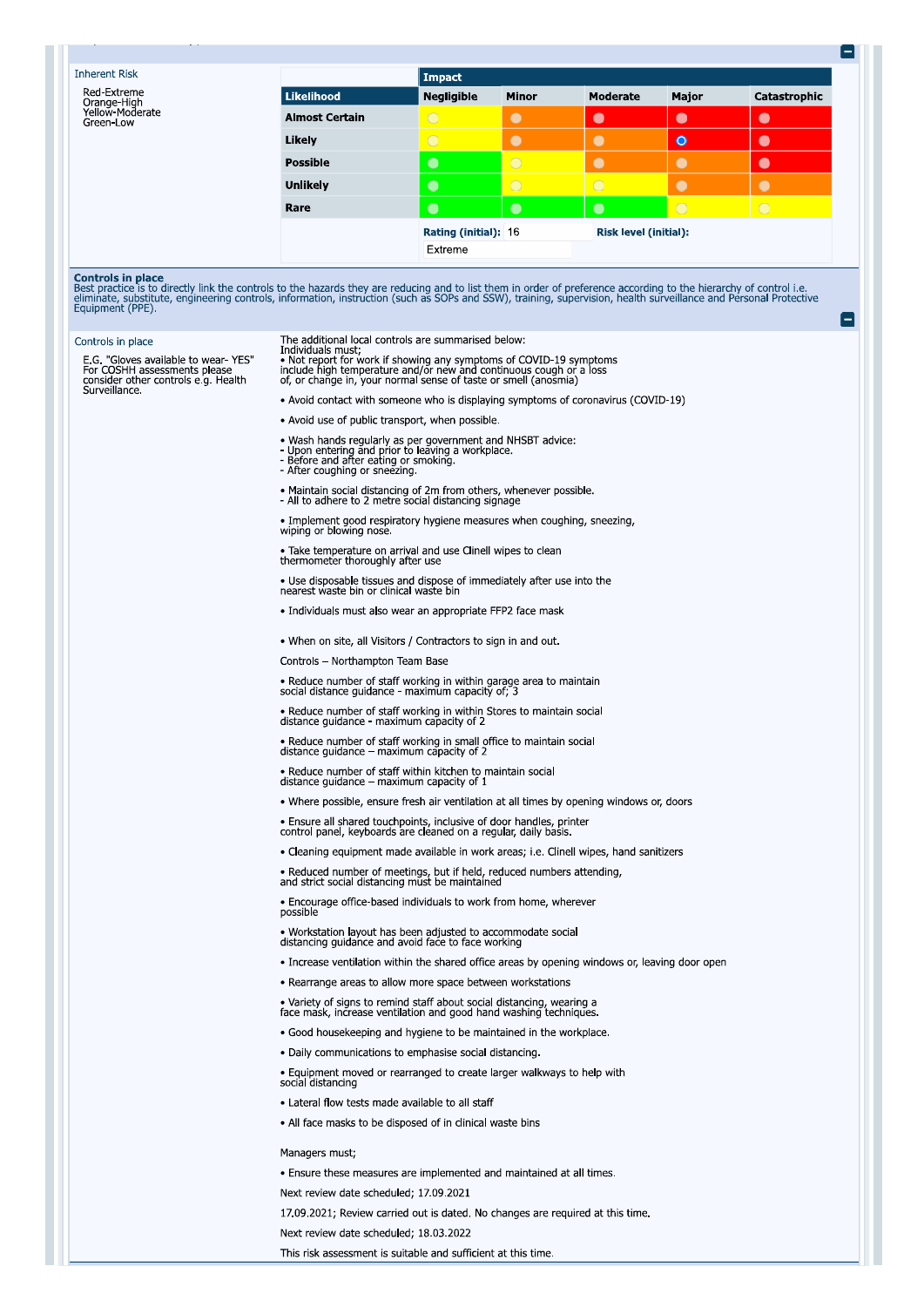| <b>Inherent Risk</b>                                                                                                                                                                                                                                                                                                                                                                   |                                                                                                                                                                                                                               | Impact               |              |                              |            |              |
|----------------------------------------------------------------------------------------------------------------------------------------------------------------------------------------------------------------------------------------------------------------------------------------------------------------------------------------------------------------------------------------|-------------------------------------------------------------------------------------------------------------------------------------------------------------------------------------------------------------------------------|----------------------|--------------|------------------------------|------------|--------------|
| Red-Extreme<br>Orange-High                                                                                                                                                                                                                                                                                                                                                             | <b>Likelihood</b>                                                                                                                                                                                                             | <b>Negligible</b>    | <b>Minor</b> | Moderate                     | Major      | Catastrophic |
| Yellow-Moderate<br>Green-Low                                                                                                                                                                                                                                                                                                                                                           | <b>Almost Certain</b>                                                                                                                                                                                                         | $\bigcirc$           | $\bullet$    | $\bullet$                    | $\bullet$  | $\bullet$    |
|                                                                                                                                                                                                                                                                                                                                                                                        | Likely                                                                                                                                                                                                                        | $\bigcirc$           | $\bullet$    | $\bullet$                    | $\bullet$  | $\bullet$    |
|                                                                                                                                                                                                                                                                                                                                                                                        | <b>Possible</b>                                                                                                                                                                                                               | $\bullet$            | $\bigcirc$   | $\bullet$                    | $\bullet$  | $\bullet$    |
|                                                                                                                                                                                                                                                                                                                                                                                        | <b>Unlikely</b>                                                                                                                                                                                                               | $\bullet$            | $\bigcirc$   | $\bigcap$                    | $\bullet$  | $\bullet$    |
|                                                                                                                                                                                                                                                                                                                                                                                        | Rare                                                                                                                                                                                                                          | $\bullet$            | $\bullet$    | $\bullet$                    | $\bigcirc$ | $\bigcirc$   |
|                                                                                                                                                                                                                                                                                                                                                                                        |                                                                                                                                                                                                                               | Rating (initial): 16 |              | <b>Risk level (initial):</b> |            |              |
|                                                                                                                                                                                                                                                                                                                                                                                        |                                                                                                                                                                                                                               | Extreme              |              |                              |            |              |
| <b>Controls in place</b><br>Best practice is to directly link the controls to the hazards they are reducing and to list them in order of preference according to the hierarchy of control i.e.<br>eliminate, substitute, engineering controls, information, instruction (such as SOPs and SSW), training, supervision, health surveillance and Personal Protective<br>Equipment (PPE). |                                                                                                                                                                                                                               |                      |              |                              |            |              |
| Controls in place                                                                                                                                                                                                                                                                                                                                                                      | The additional local controls are summarised below:                                                                                                                                                                           |                      |              |                              |            |              |
| E.G. "Gloves available to wear-YES"<br>For COSHH assessments please<br>consider other controls e.g. Health                                                                                                                                                                                                                                                                             | Individuals must;<br>• Not report for work if showing any symptoms of COVID-19 symptoms include high temperature and/or new and continuous cough or a loss<br>of, or change in, your normal sense of taste or smell (anosmia) |                      |              |                              |            |              |

. Avoid contact with someone who is displaying symptoms of coronavirus (COVID-19)

. Avoid use of public transport, when possible.

- Wash hands regularly as per government and NHSBT advice:<br>- Upon entering and prior to leaving a workplace.<br>- Before and after eating or smoking.<br>- After coughing or sneezing.
- 
- 
- Maintain social distancing of 2m from others, whenever possible.<br>- All to adhere to 2 metre social distancing signage
- 
- Implement good respiratory hygiene measures when coughing, sneezing, wiping or blowing nose.
- Take temperature on arrival and use Clinell wipes to clean<br>thermometer thoroughly after use
- . Use disposable tissues and dispose of immediately after use into the nearest waste bin or clinical waste bin
- · Individuals must also wear an appropriate FFP2 face mask
- . When on site, all Visitors / Contractors to sign in and out.
- Controls Northampton Team Base
- Reduce number of staff working in within garage area to maintain social distance guidance maximum capacity of; 3
- Reduce number of staff working in within Stores to maintain social distance guidance maximum capacity of 2
- Reduce number of staff working in small office to maintain social distance guidance maximum capacity of 2
- Reduce number of staff within kitchen to maintain social<br>distance guidance maximum capacity of 1
- . Where possible, ensure fresh air ventilation at all times by opening windows or, doors
- Ensure all shared touchpoints, inclusive of door handles, printer control panel, keyboards are cleaned on a regular, daily basis.
- Cleaning equipment made available in work areas; i.e. Clinell wipes, hand sanitizers
- Reduced number of meetings, but if held, reduced numbers attending, and strict social distancing must be maintained
- Encourage office-based individuals to work from home, wherever<br>possible
- Workstation layout has been adjusted to accommodate social distancing guidance and avoid face to face working
- Increase ventilation within the shared office areas by opening windows or, leaving door open
- Rearrange areas to allow more space between workstations
- Variety of signs to remind staff about social distancing, wearing a face mask, increase ventilation and good hand washing techniques.
- · Good housekeeping and hygiene to be maintained in the workplace.
- 
- · Daily communications to emphasise social distancing.
- Equipment moved or rearranged to create larger walkways to help with social distancing
- · Lateral flow tests made available to all staff
- All face masks to be disposed of in clinical waste bins

## Managers must;

- . Ensure these measures are implemented and maintained at all times.
- Next review date scheduled; 17.09.2021
- 17.09.2021; Review carried out is dated. No changes are required at this time.
- Next review date scheduled; 18.03.2022
- This risk assessment is suitable and sufficient at this time.